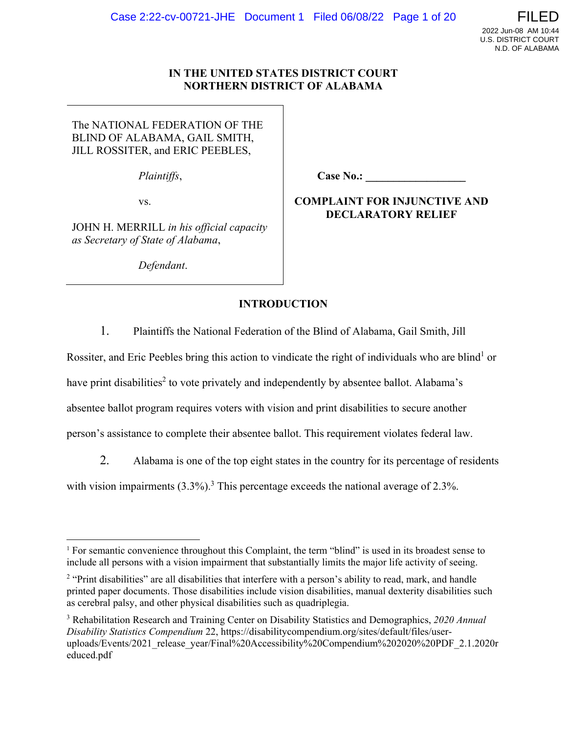# **IN THE UNITED STATES DISTRICT COURT NORTHERN DISTRICT OF ALABAMA**

The NATIONAL FEDERATION OF THE BLIND OF ALABAMA, GAIL SMITH, JILL ROSSITER, and ERIC PEEBLES,

*Plaintiffs*,

vs.

JOHN H. MERRILL *in his official capacity as Secretary of State of Alabama*,

 *Defendant*.

**Case No.: \_\_\_\_\_\_\_\_\_\_\_\_\_\_\_\_\_\_** 

# **COMPLAINT FOR INJUNCTIVE AND DECLARATORY RELIEF**

# **INTRODUCTION**

1. Plaintiffs the National Federation of the Blind of Alabama, Gail Smith, Jill

Rossiter, and Eric Peebles bring this action to vindicate the right of individuals who are blind<sup>1</sup> or

have print disabilities<sup>2</sup> to vote privately and independently by absentee ballot. Alabama's

absentee ballot program requires voters with vision and print disabilities to secure another

person's assistance to complete their absentee ballot. This requirement violates federal law.

2. Alabama is one of the top eight states in the country for its percentage of residents

with vision impairments  $(3.3\%)$ .<sup>3</sup> This percentage exceeds the national average of 2.3%.

<sup>&</sup>lt;sup>1</sup> For semantic convenience throughout this Complaint, the term "blind" is used in its broadest sense to include all persons with a vision impairment that substantially limits the major life activity of seeing.

<sup>&</sup>lt;sup>2</sup> "Print disabilities" are all disabilities that interfere with a person's ability to read, mark, and handle printed paper documents. Those disabilities include vision disabilities, manual dexterity disabilities such as cerebral palsy, and other physical disabilities such as quadriplegia.

<sup>3</sup> Rehabilitation Research and Training Center on Disability Statistics and Demographics, *2020 Annual Disability Statistics Compendium* 22, https://disabilitycompendium.org/sites/default/files/useruploads/Events/2021\_release\_year/Final%20Accessibility%20Compendium%202020%20PDF\_2.1.2020r educed.pdf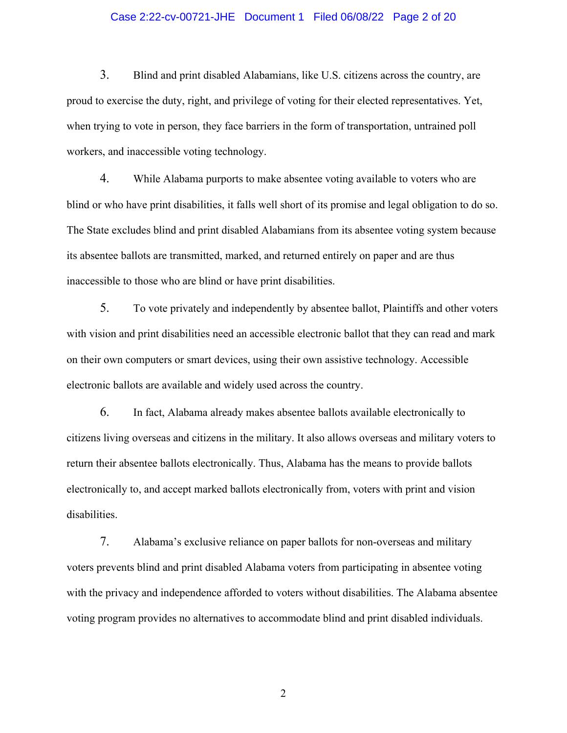# Case 2:22-cv-00721-JHE Document 1 Filed 06/08/22 Page 2 of 20

3. Blind and print disabled Alabamians, like U.S. citizens across the country, are proud to exercise the duty, right, and privilege of voting for their elected representatives. Yet, when trying to vote in person, they face barriers in the form of transportation, untrained poll workers, and inaccessible voting technology.

4. While Alabama purports to make absentee voting available to voters who are blind or who have print disabilities, it falls well short of its promise and legal obligation to do so. The State excludes blind and print disabled Alabamians from its absentee voting system because its absentee ballots are transmitted, marked, and returned entirely on paper and are thus inaccessible to those who are blind or have print disabilities.

5. To vote privately and independently by absentee ballot, Plaintiffs and other voters with vision and print disabilities need an accessible electronic ballot that they can read and mark on their own computers or smart devices, using their own assistive technology. Accessible electronic ballots are available and widely used across the country.

6. In fact, Alabama already makes absentee ballots available electronically to citizens living overseas and citizens in the military. It also allows overseas and military voters to return their absentee ballots electronically. Thus, Alabama has the means to provide ballots electronically to, and accept marked ballots electronically from, voters with print and vision disabilities.

7. Alabama's exclusive reliance on paper ballots for non-overseas and military voters prevents blind and print disabled Alabama voters from participating in absentee voting with the privacy and independence afforded to voters without disabilities. The Alabama absentee voting program provides no alternatives to accommodate blind and print disabled individuals.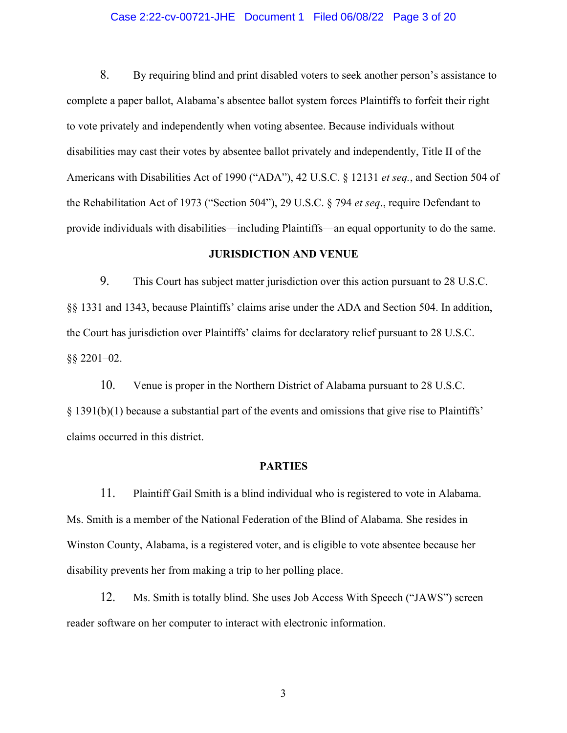# Case 2:22-cv-00721-JHE Document 1 Filed 06/08/22 Page 3 of 20

8. By requiring blind and print disabled voters to seek another person's assistance to complete a paper ballot, Alabama's absentee ballot system forces Plaintiffs to forfeit their right to vote privately and independently when voting absentee. Because individuals without disabilities may cast their votes by absentee ballot privately and independently, Title II of the Americans with Disabilities Act of 1990 ("ADA"), 42 U.S.C. § 12131 *et seq.*, and Section 504 of the Rehabilitation Act of 1973 ("Section 504"), 29 U.S.C. § 794 *et seq*., require Defendant to provide individuals with disabilities—including Plaintiffs—an equal opportunity to do the same.

# **JURISDICTION AND VENUE**

9. This Court has subject matter jurisdiction over this action pursuant to 28 U.S.C. §§ 1331 and 1343, because Plaintiffs' claims arise under the ADA and Section 504. In addition, the Court has jurisdiction over Plaintiffs' claims for declaratory relief pursuant to 28 U.S.C. §§ 2201–02.

10. Venue is proper in the Northern District of Alabama pursuant to 28 U.S.C. § 1391(b)(1) because a substantial part of the events and omissions that give rise to Plaintiffs' claims occurred in this district.

#### **PARTIES**

11. Plaintiff Gail Smith is a blind individual who is registered to vote in Alabama. Ms. Smith is a member of the National Federation of the Blind of Alabama. She resides in Winston County, Alabama, is a registered voter, and is eligible to vote absentee because her disability prevents her from making a trip to her polling place.

12. Ms. Smith is totally blind. She uses Job Access With Speech ("JAWS") screen reader software on her computer to interact with electronic information.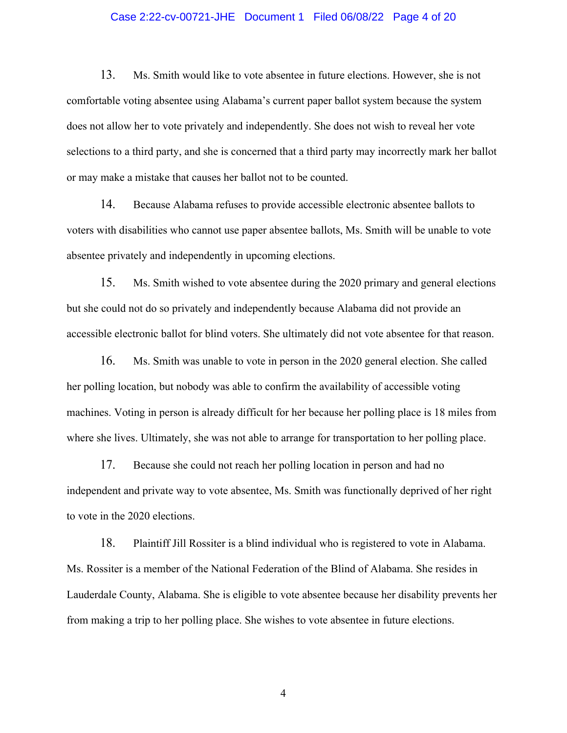# Case 2:22-cv-00721-JHE Document 1 Filed 06/08/22 Page 4 of 20

13. Ms. Smith would like to vote absentee in future elections. However, she is not comfortable voting absentee using Alabama's current paper ballot system because the system does not allow her to vote privately and independently. She does not wish to reveal her vote selections to a third party, and she is concerned that a third party may incorrectly mark her ballot or may make a mistake that causes her ballot not to be counted.

14. Because Alabama refuses to provide accessible electronic absentee ballots to voters with disabilities who cannot use paper absentee ballots, Ms. Smith will be unable to vote absentee privately and independently in upcoming elections.

15. Ms. Smith wished to vote absentee during the 2020 primary and general elections but she could not do so privately and independently because Alabama did not provide an accessible electronic ballot for blind voters. She ultimately did not vote absentee for that reason.

16. Ms. Smith was unable to vote in person in the 2020 general election. She called her polling location, but nobody was able to confirm the availability of accessible voting machines. Voting in person is already difficult for her because her polling place is 18 miles from where she lives. Ultimately, she was not able to arrange for transportation to her polling place.

17. Because she could not reach her polling location in person and had no independent and private way to vote absentee, Ms. Smith was functionally deprived of her right to vote in the 2020 elections.

18. Plaintiff Jill Rossiter is a blind individual who is registered to vote in Alabama. Ms. Rossiter is a member of the National Federation of the Blind of Alabama. She resides in Lauderdale County, Alabama. She is eligible to vote absentee because her disability prevents her from making a trip to her polling place. She wishes to vote absentee in future elections.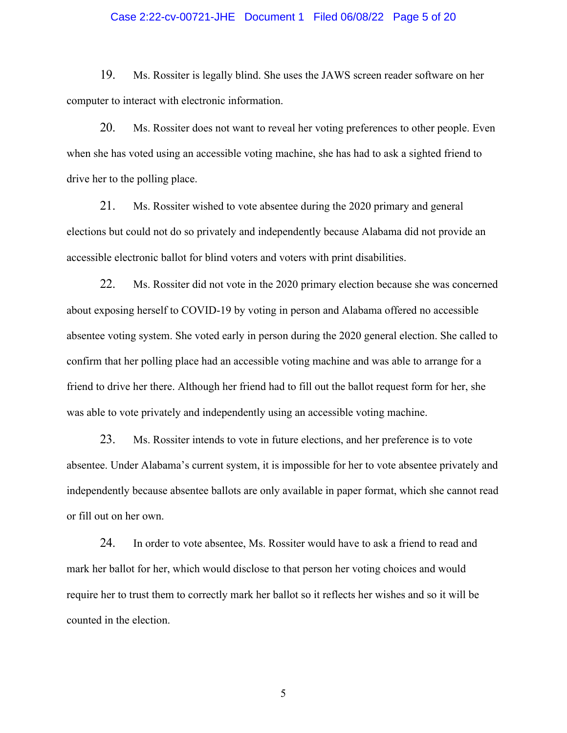# Case 2:22-cv-00721-JHE Document 1 Filed 06/08/22 Page 5 of 20

19. Ms. Rossiter is legally blind. She uses the JAWS screen reader software on her computer to interact with electronic information.

20. Ms. Rossiter does not want to reveal her voting preferences to other people. Even when she has voted using an accessible voting machine, she has had to ask a sighted friend to drive her to the polling place.

21. Ms. Rossiter wished to vote absentee during the 2020 primary and general elections but could not do so privately and independently because Alabama did not provide an accessible electronic ballot for blind voters and voters with print disabilities.

22. Ms. Rossiter did not vote in the 2020 primary election because she was concerned about exposing herself to COVID-19 by voting in person and Alabama offered no accessible absentee voting system. She voted early in person during the 2020 general election. She called to confirm that her polling place had an accessible voting machine and was able to arrange for a friend to drive her there. Although her friend had to fill out the ballot request form for her, she was able to vote privately and independently using an accessible voting machine.

23. Ms. Rossiter intends to vote in future elections, and her preference is to vote absentee. Under Alabama's current system, it is impossible for her to vote absentee privately and independently because absentee ballots are only available in paper format, which she cannot read or fill out on her own.

24. In order to vote absentee, Ms. Rossiter would have to ask a friend to read and mark her ballot for her, which would disclose to that person her voting choices and would require her to trust them to correctly mark her ballot so it reflects her wishes and so it will be counted in the election.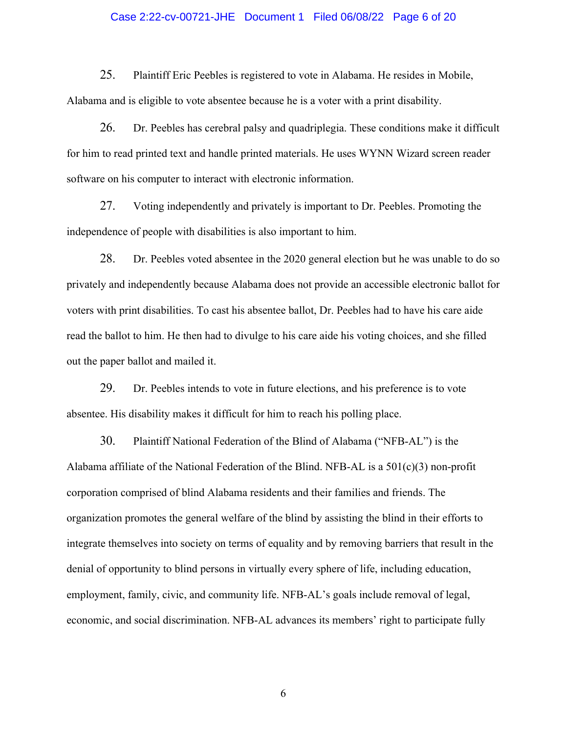# Case 2:22-cv-00721-JHE Document 1 Filed 06/08/22 Page 6 of 20

25. Plaintiff Eric Peebles is registered to vote in Alabama. He resides in Mobile, Alabama and is eligible to vote absentee because he is a voter with a print disability.

26. Dr. Peebles has cerebral palsy and quadriplegia. These conditions make it difficult for him to read printed text and handle printed materials. He uses WYNN Wizard screen reader software on his computer to interact with electronic information.

27. Voting independently and privately is important to Dr. Peebles. Promoting the independence of people with disabilities is also important to him.

28. Dr. Peebles voted absentee in the 2020 general election but he was unable to do so privately and independently because Alabama does not provide an accessible electronic ballot for voters with print disabilities. To cast his absentee ballot, Dr. Peebles had to have his care aide read the ballot to him. He then had to divulge to his care aide his voting choices, and she filled out the paper ballot and mailed it.

29. Dr. Peebles intends to vote in future elections, and his preference is to vote absentee. His disability makes it difficult for him to reach his polling place.

30. Plaintiff National Federation of the Blind of Alabama ("NFB-AL") is the Alabama affiliate of the National Federation of the Blind. NFB-AL is a  $501(c)(3)$  non-profit corporation comprised of blind Alabama residents and their families and friends. The organization promotes the general welfare of the blind by assisting the blind in their efforts to integrate themselves into society on terms of equality and by removing barriers that result in the denial of opportunity to blind persons in virtually every sphere of life, including education, employment, family, civic, and community life. NFB-AL's goals include removal of legal, economic, and social discrimination. NFB-AL advances its members' right to participate fully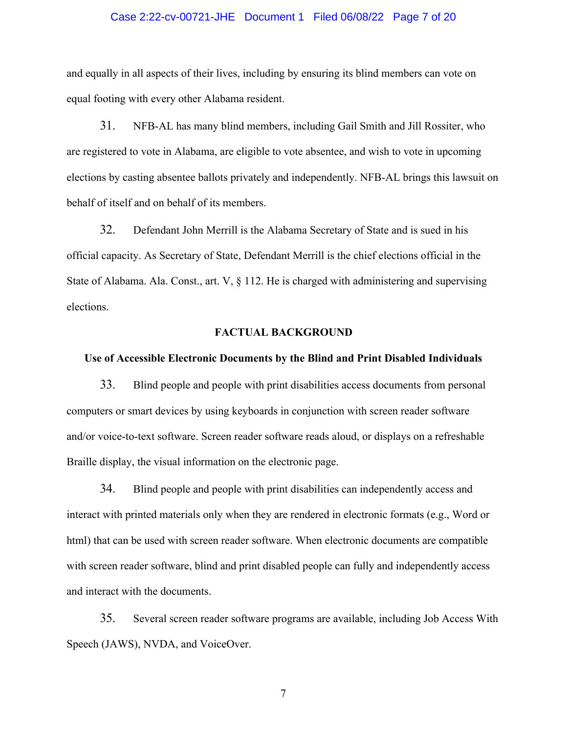#### Case 2:22-cv-00721-JHE Document 1 Filed 06/08/22 Page 7 of 20

and equally in all aspects of their lives, including by ensuring its blind members can vote on equal footing with every other Alabama resident.

31. NFB-AL has many blind members, including Gail Smith and Jill Rossiter, who are registered to vote in Alabama, are eligible to vote absentee, and wish to vote in upcoming elections by casting absentee ballots privately and independently. NFB-AL brings this lawsuit on behalf of itself and on behalf of its members.

32. Defendant John Merrill is the Alabama Secretary of State and is sued in his official capacity. As Secretary of State, Defendant Merrill is the chief elections official in the State of Alabama. Ala. Const., art. V, § 112. He is charged with administering and supervising elections.

### **FACTUAL BACKGROUND**

## **Use of Accessible Electronic Documents by the Blind and Print Disabled Individuals**

33. Blind people and people with print disabilities access documents from personal computers or smart devices by using keyboards in conjunction with screen reader software and/or voice-to-text software. Screen reader software reads aloud, or displays on a refreshable Braille display, the visual information on the electronic page.

34. Blind people and people with print disabilities can independently access and interact with printed materials only when they are rendered in electronic formats (e.g., Word or html) that can be used with screen reader software. When electronic documents are compatible with screen reader software, blind and print disabled people can fully and independently access and interact with the documents.

35. Several screen reader software programs are available, including Job Access With Speech (JAWS), NVDA, and VoiceOver.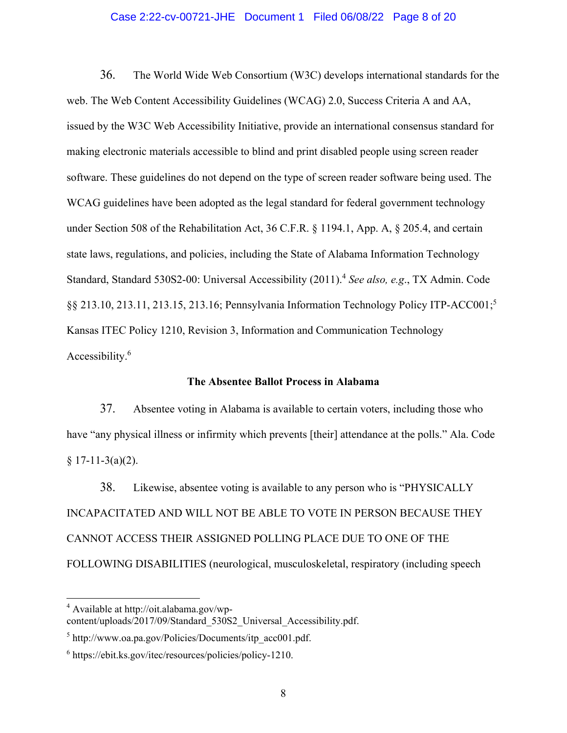## Case 2:22-cv-00721-JHE Document 1 Filed 06/08/22 Page 8 of 20

36. The World Wide Web Consortium (W3C) develops international standards for the web. The Web Content Accessibility Guidelines (WCAG) 2.0, Success Criteria A and AA, issued by the W3C Web Accessibility Initiative, provide an international consensus standard for making electronic materials accessible to blind and print disabled people using screen reader software. These guidelines do not depend on the type of screen reader software being used. The WCAG guidelines have been adopted as the legal standard for federal government technology under Section 508 of the Rehabilitation Act, 36 C.F.R. § 1194.1, App. A, § 205.4, and certain state laws, regulations, and policies, including the State of Alabama Information Technology Standard, Standard 530S2-00: Universal Accessibility (2011).4 *See also, e.g*., TX Admin. Code §§ 213.10, 213.11, 213.15, 213.16; Pennsylvania Information Technology Policy ITP-ACC001;<sup>5</sup> Kansas ITEC Policy 1210, Revision 3, Information and Communication Technology Accessibility.<sup>6</sup>

#### **The Absentee Ballot Process in Alabama**

37. Absentee voting in Alabama is available to certain voters, including those who have "any physical illness or infirmity which prevents [their] attendance at the polls." Ala. Code  $§ 17-11-3(a)(2).$ 

38. Likewise, absentee voting is available to any person who is "PHYSICALLY INCAPACITATED AND WILL NOT BE ABLE TO VOTE IN PERSON BECAUSE THEY CANNOT ACCESS THEIR ASSIGNED POLLING PLACE DUE TO ONE OF THE FOLLOWING DISABILITIES (neurological, musculoskeletal, respiratory (including speech

<sup>&</sup>lt;sup>4</sup> Available at http://oit.alabama.gov/wpcontent/uploads/2017/09/Standard\_530S2\_Universal\_Accessibility.pdf.

<sup>&</sup>lt;sup>5</sup> http://www.oa.pa.gov/Policies/Documents/itp\_acc001.pdf.

<sup>&</sup>lt;sup>6</sup> https://ebit.ks.gov/itec/resources/policies/policy-1210.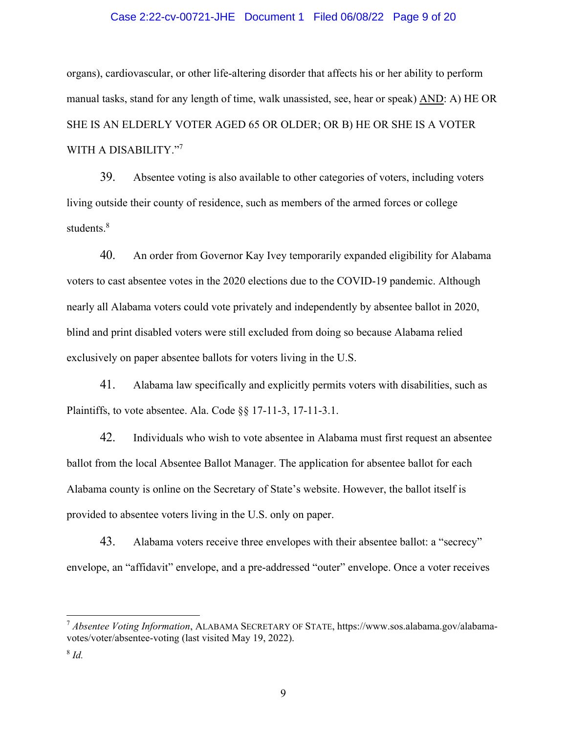# Case 2:22-cv-00721-JHE Document 1 Filed 06/08/22 Page 9 of 20

organs), cardiovascular, or other life-altering disorder that affects his or her ability to perform manual tasks, stand for any length of time, walk unassisted, see, hear or speak) AND: A) HE OR SHE IS AN ELDERLY VOTER AGED 65 OR OLDER; OR B) HE OR SHE IS A VOTER WITH A DISABILITY."7

39. Absentee voting is also available to other categories of voters, including voters living outside their county of residence, such as members of the armed forces or college students.<sup>8</sup>

40. An order from Governor Kay Ivey temporarily expanded eligibility for Alabama voters to cast absentee votes in the 2020 elections due to the COVID-19 pandemic. Although nearly all Alabama voters could vote privately and independently by absentee ballot in 2020, blind and print disabled voters were still excluded from doing so because Alabama relied exclusively on paper absentee ballots for voters living in the U.S.

41. Alabama law specifically and explicitly permits voters with disabilities, such as Plaintiffs, to vote absentee. Ala. Code §§ 17-11-3, 17-11-3.1.

42. Individuals who wish to vote absentee in Alabama must first request an absentee ballot from the local Absentee Ballot Manager. The application for absentee ballot for each Alabama county is online on the Secretary of State's website. However, the ballot itself is provided to absentee voters living in the U.S. only on paper.

43. Alabama voters receive three envelopes with their absentee ballot: a "secrecy" envelope, an "affidavit" envelope, and a pre-addressed "outer" envelope. Once a voter receives

<sup>7</sup> *Absentee Voting Information*, ALABAMA SECRETARY OF STATE, https://www.sos.alabama.gov/alabamavotes/voter/absentee-voting (last visited May 19, 2022).

<sup>8</sup> *Id.*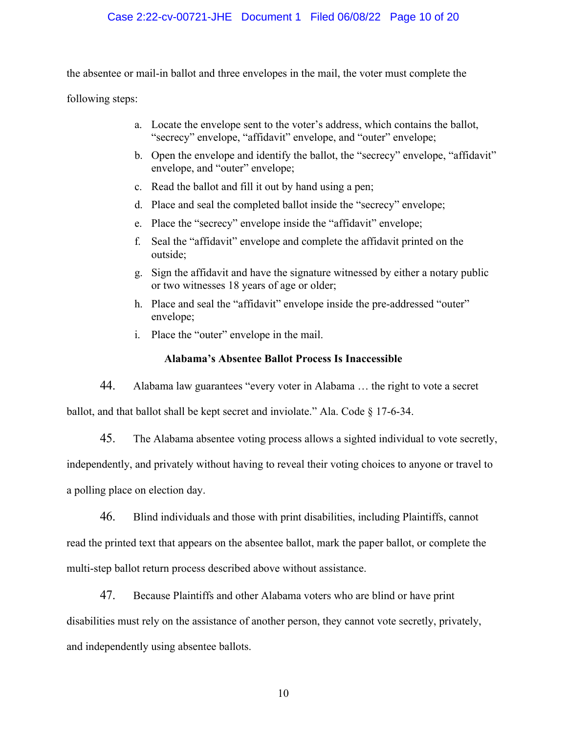# Case 2:22-cv-00721-JHE Document 1 Filed 06/08/22 Page 10 of 20

the absentee or mail-in ballot and three envelopes in the mail, the voter must complete the

following steps:

- a. Locate the envelope sent to the voter's address, which contains the ballot, "secrecy" envelope, "affidavit" envelope, and "outer" envelope;
- b. Open the envelope and identify the ballot, the "secrecy" envelope, "affidavit" envelope, and "outer" envelope;
- c. Read the ballot and fill it out by hand using a pen;
- d. Place and seal the completed ballot inside the "secrecy" envelope;
- e. Place the "secrecy" envelope inside the "affidavit" envelope;
- f. Seal the "affidavit" envelope and complete the affidavit printed on the outside;
- g. Sign the affidavit and have the signature witnessed by either a notary public or two witnesses 18 years of age or older;
- h. Place and seal the "affidavit" envelope inside the pre-addressed "outer" envelope;
- i. Place the "outer" envelope in the mail.

# **Alabama's Absentee Ballot Process Is Inaccessible**

44. Alabama law guarantees "every voter in Alabama … the right to vote a secret ballot, and that ballot shall be kept secret and inviolate." Ala. Code § 17-6-34.

45. The Alabama absentee voting process allows a sighted individual to vote secretly, independently, and privately without having to reveal their voting choices to anyone or travel to

a polling place on election day.

46. Blind individuals and those with print disabilities, including Plaintiffs, cannot

read the printed text that appears on the absentee ballot, mark the paper ballot, or complete the multi-step ballot return process described above without assistance.

47. Because Plaintiffs and other Alabama voters who are blind or have print disabilities must rely on the assistance of another person, they cannot vote secretly, privately, and independently using absentee ballots.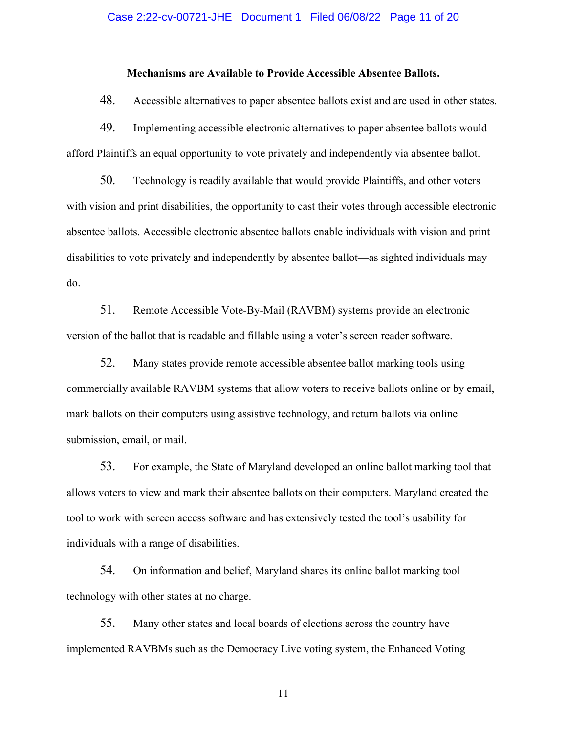## Case 2:22-cv-00721-JHE Document 1 Filed 06/08/22 Page 11 of 20

# **Mechanisms are Available to Provide Accessible Absentee Ballots.**

48. Accessible alternatives to paper absentee ballots exist and are used in other states.

49. Implementing accessible electronic alternatives to paper absentee ballots would afford Plaintiffs an equal opportunity to vote privately and independently via absentee ballot.

50. Technology is readily available that would provide Plaintiffs, and other voters with vision and print disabilities, the opportunity to cast their votes through accessible electronic absentee ballots. Accessible electronic absentee ballots enable individuals with vision and print disabilities to vote privately and independently by absentee ballot—as sighted individuals may do.

51. Remote Accessible Vote-By-Mail (RAVBM) systems provide an electronic version of the ballot that is readable and fillable using a voter's screen reader software.

52. Many states provide remote accessible absentee ballot marking tools using commercially available RAVBM systems that allow voters to receive ballots online or by email, mark ballots on their computers using assistive technology, and return ballots via online submission, email, or mail.

53. For example, the State of Maryland developed an online ballot marking tool that allows voters to view and mark their absentee ballots on their computers. Maryland created the tool to work with screen access software and has extensively tested the tool's usability for individuals with a range of disabilities.

54. On information and belief, Maryland shares its online ballot marking tool technology with other states at no charge.

55. Many other states and local boards of elections across the country have implemented RAVBMs such as the Democracy Live voting system, the Enhanced Voting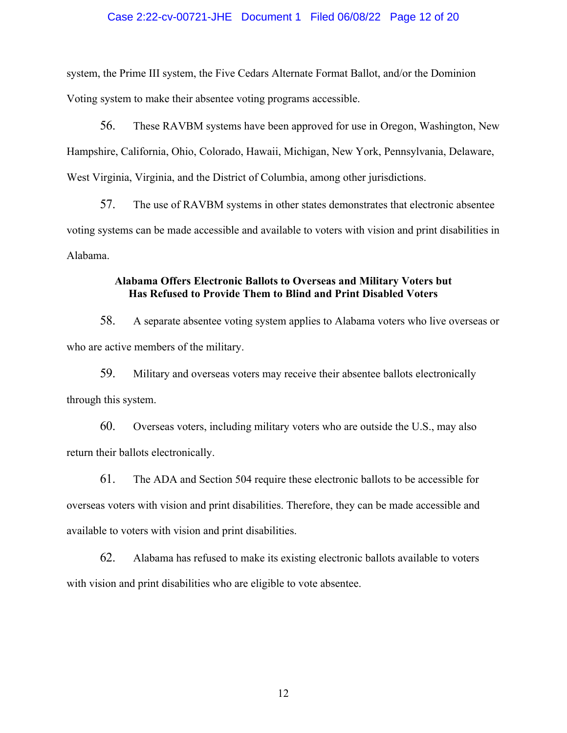# Case 2:22-cv-00721-JHE Document 1 Filed 06/08/22 Page 12 of 20

system, the Prime III system, the Five Cedars Alternate Format Ballot, and/or the Dominion Voting system to make their absentee voting programs accessible.

56. These RAVBM systems have been approved for use in Oregon, Washington, New Hampshire, California, Ohio, Colorado, Hawaii, Michigan, New York, Pennsylvania, Delaware, West Virginia, Virginia, and the District of Columbia, among other jurisdictions.

57. The use of RAVBM systems in other states demonstrates that electronic absentee voting systems can be made accessible and available to voters with vision and print disabilities in Alabama.

# **Alabama Offers Electronic Ballots to Overseas and Military Voters but Has Refused to Provide Them to Blind and Print Disabled Voters**

58. A separate absentee voting system applies to Alabama voters who live overseas or who are active members of the military.

59. Military and overseas voters may receive their absentee ballots electronically through this system.

60. Overseas voters, including military voters who are outside the U.S., may also return their ballots electronically.

61. The ADA and Section 504 require these electronic ballots to be accessible for overseas voters with vision and print disabilities. Therefore, they can be made accessible and available to voters with vision and print disabilities.

62. Alabama has refused to make its existing electronic ballots available to voters with vision and print disabilities who are eligible to vote absentee.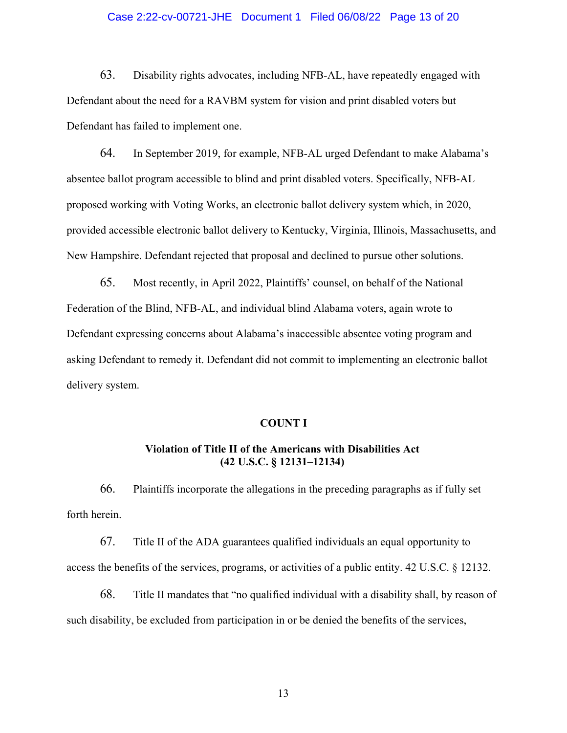# Case 2:22-cv-00721-JHE Document 1 Filed 06/08/22 Page 13 of 20

63. Disability rights advocates, including NFB-AL, have repeatedly engaged with Defendant about the need for a RAVBM system for vision and print disabled voters but Defendant has failed to implement one.

64. In September 2019, for example, NFB-AL urged Defendant to make Alabama's absentee ballot program accessible to blind and print disabled voters. Specifically, NFB-AL proposed working with Voting Works, an electronic ballot delivery system which, in 2020, provided accessible electronic ballot delivery to Kentucky, Virginia, Illinois, Massachusetts, and New Hampshire. Defendant rejected that proposal and declined to pursue other solutions.

65. Most recently, in April 2022, Plaintiffs' counsel, on behalf of the National Federation of the Blind, NFB-AL, and individual blind Alabama voters, again wrote to Defendant expressing concerns about Alabama's inaccessible absentee voting program and asking Defendant to remedy it. Defendant did not commit to implementing an electronic ballot delivery system.

#### **COUNT I**

# **Violation of Title II of the Americans with Disabilities Act (42 U.S.C. § 12131–12134)**

66. Plaintiffs incorporate the allegations in the preceding paragraphs as if fully set forth herein.

67. Title II of the ADA guarantees qualified individuals an equal opportunity to access the benefits of the services, programs, or activities of a public entity. 42 U.S.C. § 12132.

68. Title II mandates that "no qualified individual with a disability shall, by reason of such disability, be excluded from participation in or be denied the benefits of the services,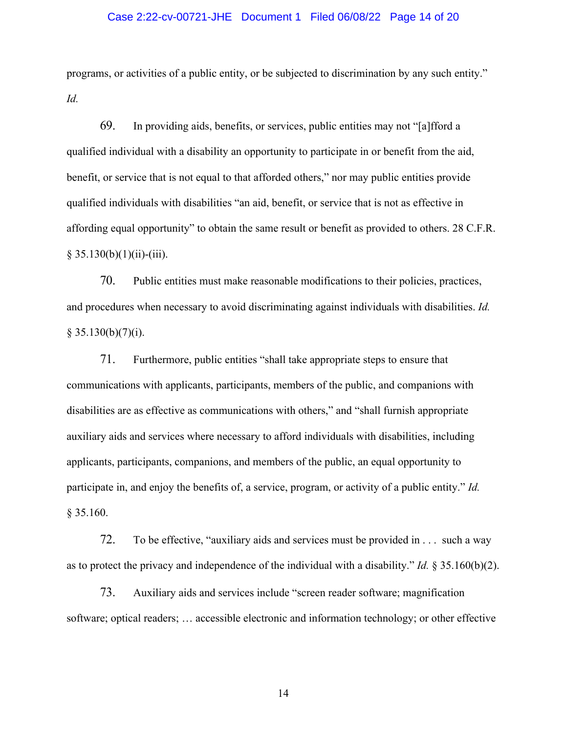### Case 2:22-cv-00721-JHE Document 1 Filed 06/08/22 Page 14 of 20

programs, or activities of a public entity, or be subjected to discrimination by any such entity." *Id.*

69. In providing aids, benefits, or services, public entities may not "[a]fford a qualified individual with a disability an opportunity to participate in or benefit from the aid, benefit, or service that is not equal to that afforded others," nor may public entities provide qualified individuals with disabilities "an aid, benefit, or service that is not as effective in affording equal opportunity" to obtain the same result or benefit as provided to others. 28 C.F.R.  $§ 35.130(b)(1)(ii)-(iii).$ 

70. Public entities must make reasonable modifications to their policies, practices, and procedures when necessary to avoid discriminating against individuals with disabilities. *Id.*  $§ 35.130(b)(7)(i).$ 

71. Furthermore, public entities "shall take appropriate steps to ensure that communications with applicants, participants, members of the public, and companions with disabilities are as effective as communications with others," and "shall furnish appropriate auxiliary aids and services where necessary to afford individuals with disabilities, including applicants, participants, companions, and members of the public, an equal opportunity to participate in, and enjoy the benefits of, a service, program, or activity of a public entity." *Id.* § 35.160.

72. To be effective, "auxiliary aids and services must be provided in . . . such a way as to protect the privacy and independence of the individual with a disability." *Id.* § 35.160(b)(2).

73. Auxiliary aids and services include "screen reader software; magnification software; optical readers; … accessible electronic and information technology; or other effective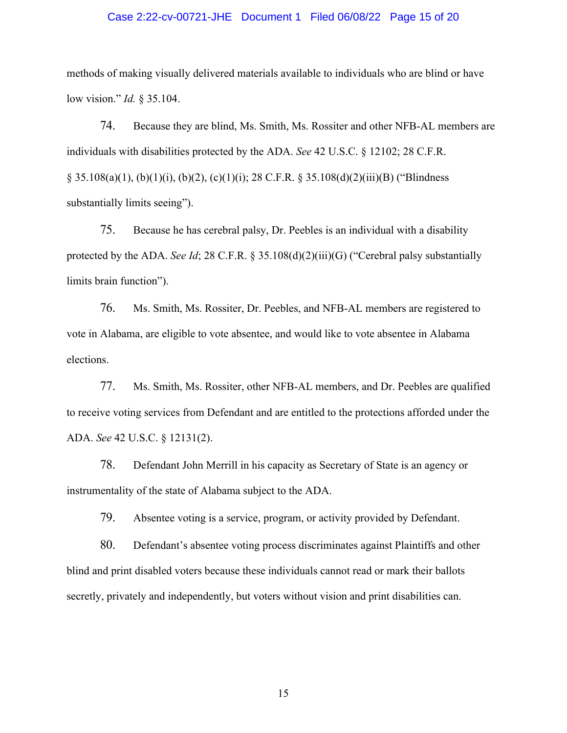### Case 2:22-cv-00721-JHE Document 1 Filed 06/08/22 Page 15 of 20

methods of making visually delivered materials available to individuals who are blind or have low vision." *Id.* § 35.104.

74. Because they are blind, Ms. Smith, Ms. Rossiter and other NFB-AL members are individuals with disabilities protected by the ADA. *See* 42 U.S.C. § 12102; 28 C.F.R.  $\S$  35.108(a)(1), (b)(1)(i), (b)(2), (c)(1)(i); 28 C.F.R.  $\S$  35.108(d)(2)(iii)(B) ("Blindness substantially limits seeing").

75. Because he has cerebral palsy, Dr. Peebles is an individual with a disability protected by the ADA. *See Id*; 28 C.F.R. § 35.108(d)(2)(iii)(G) ("Cerebral palsy substantially limits brain function").

76. Ms. Smith, Ms. Rossiter, Dr. Peebles, and NFB-AL members are registered to vote in Alabama, are eligible to vote absentee, and would like to vote absentee in Alabama elections.

77. Ms. Smith, Ms. Rossiter, other NFB-AL members, and Dr. Peebles are qualified to receive voting services from Defendant and are entitled to the protections afforded under the ADA. *See* 42 U.S.C. § 12131(2).

78. Defendant John Merrill in his capacity as Secretary of State is an agency or instrumentality of the state of Alabama subject to the ADA.

79. Absentee voting is a service, program, or activity provided by Defendant.

80. Defendant's absentee voting process discriminates against Plaintiffs and other blind and print disabled voters because these individuals cannot read or mark their ballots secretly, privately and independently, but voters without vision and print disabilities can.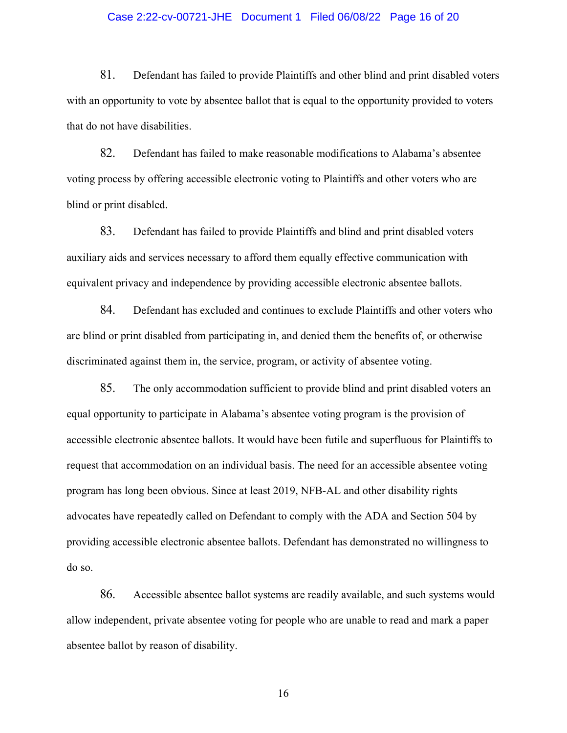# Case 2:22-cv-00721-JHE Document 1 Filed 06/08/22 Page 16 of 20

81. Defendant has failed to provide Plaintiffs and other blind and print disabled voters with an opportunity to vote by absentee ballot that is equal to the opportunity provided to voters that do not have disabilities.

82. Defendant has failed to make reasonable modifications to Alabama's absentee voting process by offering accessible electronic voting to Plaintiffs and other voters who are blind or print disabled.

83. Defendant has failed to provide Plaintiffs and blind and print disabled voters auxiliary aids and services necessary to afford them equally effective communication with equivalent privacy and independence by providing accessible electronic absentee ballots.

84. Defendant has excluded and continues to exclude Plaintiffs and other voters who are blind or print disabled from participating in, and denied them the benefits of, or otherwise discriminated against them in, the service, program, or activity of absentee voting.

85. The only accommodation sufficient to provide blind and print disabled voters an equal opportunity to participate in Alabama's absentee voting program is the provision of accessible electronic absentee ballots. It would have been futile and superfluous for Plaintiffs to request that accommodation on an individual basis. The need for an accessible absentee voting program has long been obvious. Since at least 2019, NFB-AL and other disability rights advocates have repeatedly called on Defendant to comply with the ADA and Section 504 by providing accessible electronic absentee ballots. Defendant has demonstrated no willingness to do so.

86. Accessible absentee ballot systems are readily available, and such systems would allow independent, private absentee voting for people who are unable to read and mark a paper absentee ballot by reason of disability.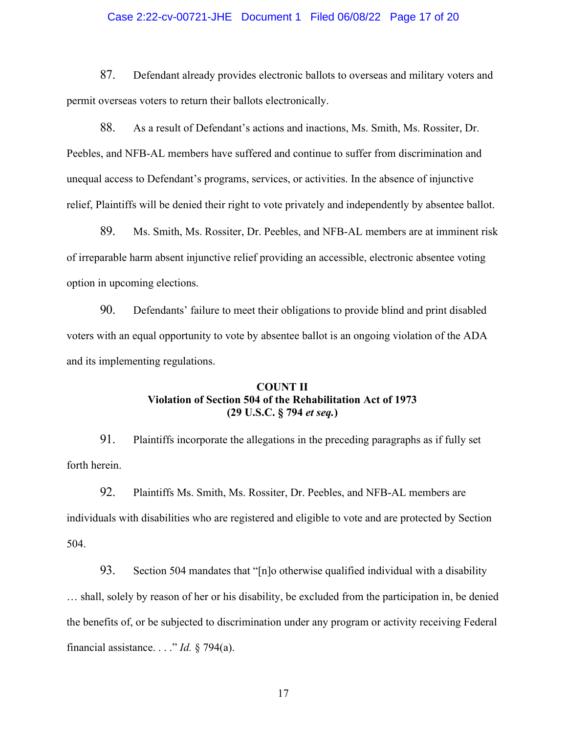# Case 2:22-cv-00721-JHE Document 1 Filed 06/08/22 Page 17 of 20

87. Defendant already provides electronic ballots to overseas and military voters and permit overseas voters to return their ballots electronically.

88. As a result of Defendant's actions and inactions, Ms. Smith, Ms. Rossiter, Dr. Peebles, and NFB-AL members have suffered and continue to suffer from discrimination and unequal access to Defendant's programs, services, or activities. In the absence of injunctive relief, Plaintiffs will be denied their right to vote privately and independently by absentee ballot.

89. Ms. Smith, Ms. Rossiter, Dr. Peebles, and NFB-AL members are at imminent risk of irreparable harm absent injunctive relief providing an accessible, electronic absentee voting option in upcoming elections.

90. Defendants' failure to meet their obligations to provide blind and print disabled voters with an equal opportunity to vote by absentee ballot is an ongoing violation of the ADA and its implementing regulations.

# **COUNT II Violation of Section 504 of the Rehabilitation Act of 1973 (29 U.S.C. § 794** *et seq.***)**

91. Plaintiffs incorporate the allegations in the preceding paragraphs as if fully set forth herein.

92. Plaintiffs Ms. Smith, Ms. Rossiter, Dr. Peebles, and NFB-AL members are individuals with disabilities who are registered and eligible to vote and are protected by Section 504.

93. Section 504 mandates that "[n]o otherwise qualified individual with a disability … shall, solely by reason of her or his disability, be excluded from the participation in, be denied the benefits of, or be subjected to discrimination under any program or activity receiving Federal financial assistance. . . ." *Id.* § 794(a).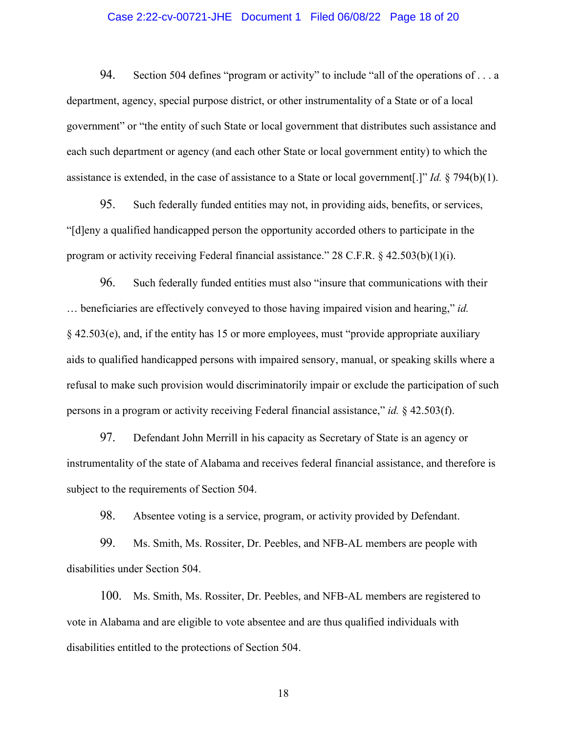# Case 2:22-cv-00721-JHE Document 1 Filed 06/08/22 Page 18 of 20

94. Section 504 defines "program or activity" to include "all of the operations of ... a department, agency, special purpose district, or other instrumentality of a State or of a local government" or "the entity of such State or local government that distributes such assistance and each such department or agency (and each other State or local government entity) to which the assistance is extended, in the case of assistance to a State or local government[.]" *Id.* § 794(b)(1).

95. Such federally funded entities may not, in providing aids, benefits, or services, "[d]eny a qualified handicapped person the opportunity accorded others to participate in the program or activity receiving Federal financial assistance." 28 C.F.R. § 42.503(b)(1)(i).

96. Such federally funded entities must also "insure that communications with their … beneficiaries are effectively conveyed to those having impaired vision and hearing," *id.* § 42.503(e), and, if the entity has 15 or more employees, must "provide appropriate auxiliary aids to qualified handicapped persons with impaired sensory, manual, or speaking skills where a refusal to make such provision would discriminatorily impair or exclude the participation of such persons in a program or activity receiving Federal financial assistance," *id.* § 42.503(f).

97. Defendant John Merrill in his capacity as Secretary of State is an agency or instrumentality of the state of Alabama and receives federal financial assistance, and therefore is subject to the requirements of Section 504.

98. Absentee voting is a service, program, or activity provided by Defendant.

99. Ms. Smith, Ms. Rossiter, Dr. Peebles, and NFB-AL members are people with disabilities under Section 504.

100. Ms. Smith, Ms. Rossiter, Dr. Peebles, and NFB-AL members are registered to vote in Alabama and are eligible to vote absentee and are thus qualified individuals with disabilities entitled to the protections of Section 504.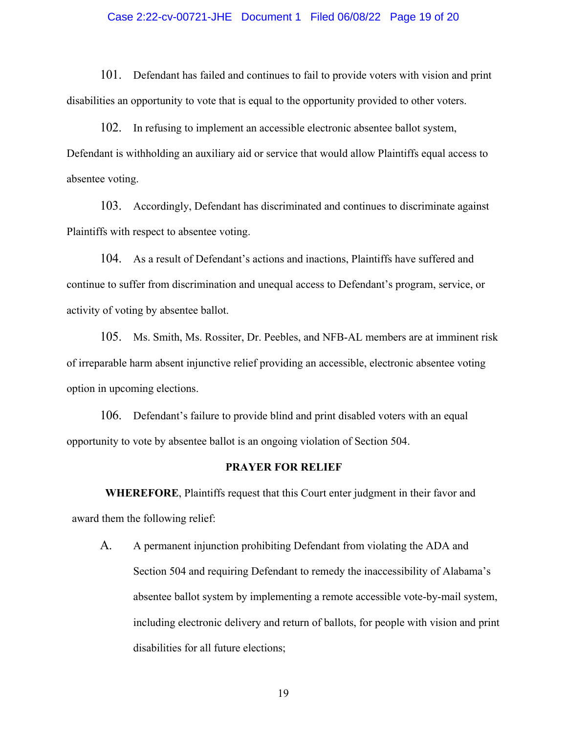## Case 2:22-cv-00721-JHE Document 1 Filed 06/08/22 Page 19 of 20

101. Defendant has failed and continues to fail to provide voters with vision and print disabilities an opportunity to vote that is equal to the opportunity provided to other voters.

102. In refusing to implement an accessible electronic absentee ballot system, Defendant is withholding an auxiliary aid or service that would allow Plaintiffs equal access to absentee voting.

103. Accordingly, Defendant has discriminated and continues to discriminate against Plaintiffs with respect to absentee voting.

104. As a result of Defendant's actions and inactions, Plaintiffs have suffered and continue to suffer from discrimination and unequal access to Defendant's program, service, or activity of voting by absentee ballot.

105. Ms. Smith, Ms. Rossiter, Dr. Peebles, and NFB-AL members are at imminent risk of irreparable harm absent injunctive relief providing an accessible, electronic absentee voting option in upcoming elections.

106. Defendant's failure to provide blind and print disabled voters with an equal opportunity to vote by absentee ballot is an ongoing violation of Section 504.

## **PRAYER FOR RELIEF**

**WHEREFORE**, Plaintiffs request that this Court enter judgment in their favor and award them the following relief:

A. A permanent injunction prohibiting Defendant from violating the ADA and Section 504 and requiring Defendant to remedy the inaccessibility of Alabama's absentee ballot system by implementing a remote accessible vote-by-mail system, including electronic delivery and return of ballots, for people with vision and print disabilities for all future elections;